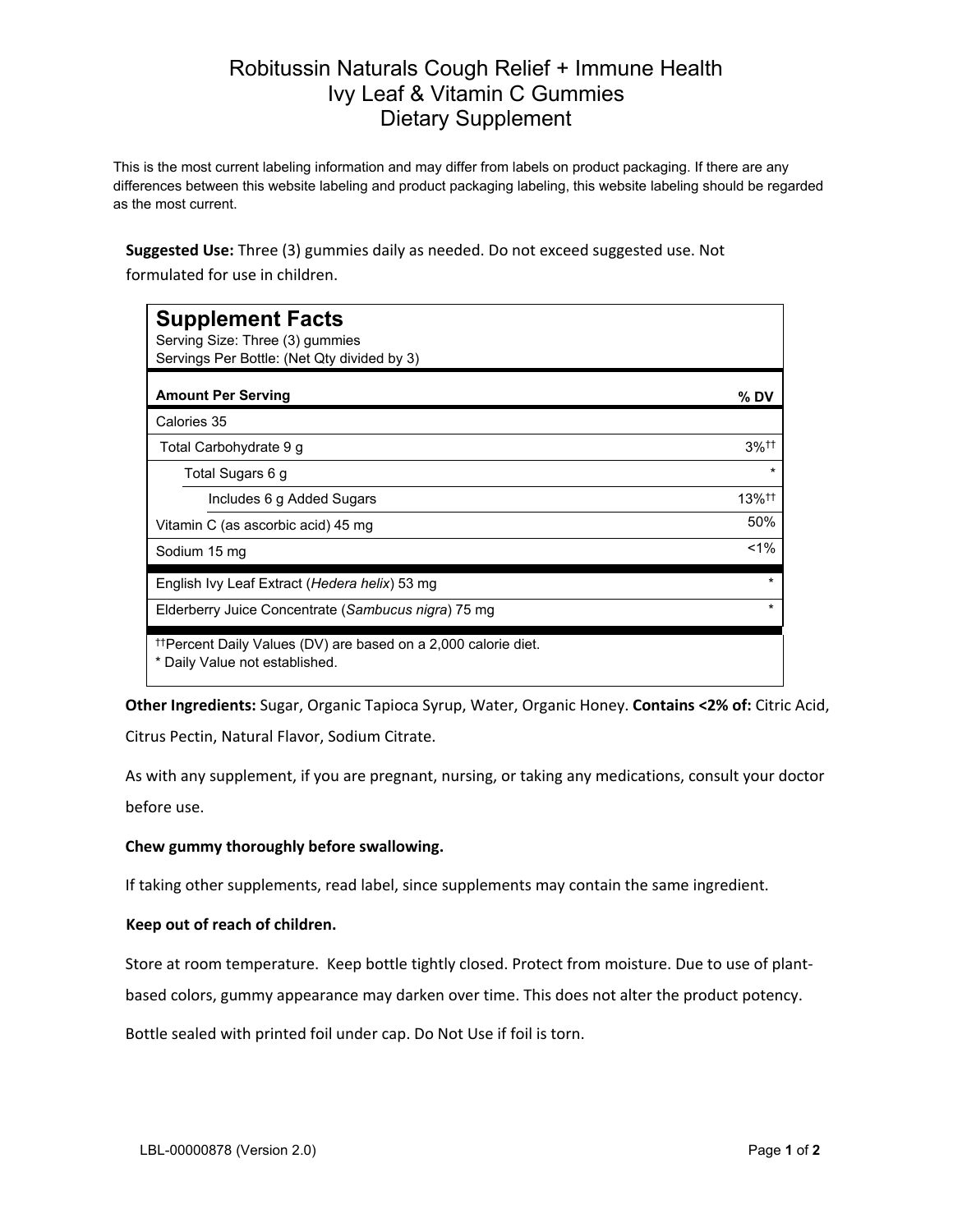## Robitussin Naturals Cough Relief + Immune Health Ivy Leaf & Vitamin C Gummies Dietary Supplement

This is the most current labeling information and may differ from labels on product packaging. If there are any differences between this website labeling and product packaging labeling, this website labeling should be regarded as the most current.

**Suggested Use:** Three (3) gummies daily as needed. Do not exceed suggested use. Not formulated for use in children.

| <b>Supplement Facts</b><br>Serving Size: Three (3) gummies<br>Servings Per Bottle: (Net Qty divided by 3)    |                      |
|--------------------------------------------------------------------------------------------------------------|----------------------|
| <b>Amount Per Serving</b>                                                                                    | % DV                 |
| Calories 35                                                                                                  |                      |
| Total Carbohydrate 9 g                                                                                       | $3%$ <sup>††</sup>   |
| Total Sugars 6 g                                                                                             | $\star$              |
| Includes 6 g Added Sugars                                                                                    | $13\%$ <sup>††</sup> |
| Vitamin C (as ascorbic acid) 45 mg                                                                           | 50%                  |
| Sodium 15 mg                                                                                                 | $1\%$                |
| English Ivy Leaf Extract (Hedera helix) 53 mg                                                                | $\star$              |
| Elderberry Juice Concentrate (Sambucus nigra) 75 mg                                                          | $\star$              |
| <sup>††</sup> Percent Daily Values (DV) are based on a 2,000 calorie diet.<br>* Daily Value not established. |                      |

**Other Ingredients:** Sugar, Organic Tapioca Syrup, Water, Organic Honey. **Contains <2% of:** Citric Acid,

Citrus Pectin, Natural Flavor, Sodium Citrate.

As with any supplement, if you are pregnant, nursing, or taking any medications, consult your doctor before use.

## **Chew gummy thoroughly before swallowing.**

If taking other supplements, read label, since supplements may contain the same ingredient.

## **Keep out of reach of children.**

Store at room temperature. Keep bottle tightly closed. Protect from moisture. Due to use of plant-

based colors, gummy appearance may darken over time. This does not alter the product potency.

Bottle sealed with printed foil under cap. Do Not Use if foil is torn.